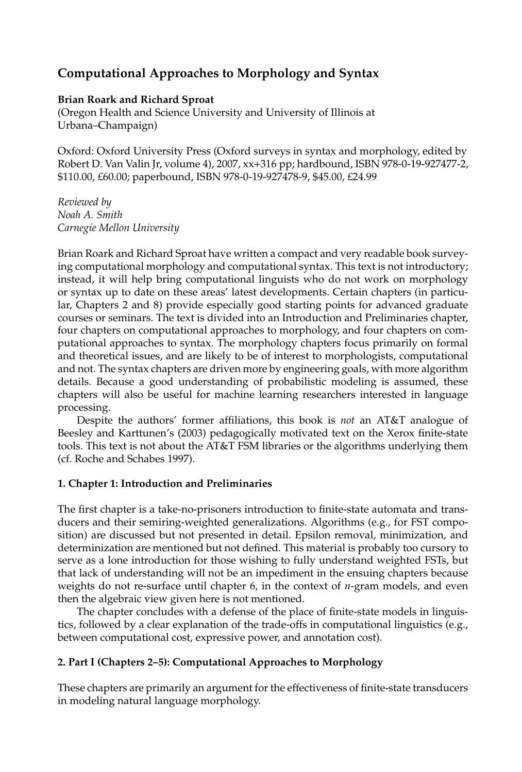# **Computational Approaches to Morphology and Syntax**

### **Brian Roark and Richard Sproat**

(Oregon Health and Science University and University of Illinois at Urbana–Champaign)

Oxford: Oxford University Press (Oxford surveys in syntax and morphology, edited by Robert D. Van Valin Jr, volume 4), 2007, xx+316 pp; hardbound, ISBN 978-0-19-927477-2, \$110.00, £60.00; paperbound, ISBN 978-0-19-927478-9, \$45.00, £24.99

*Reviewed by Noah A. Smith Carnegie Mellon University*

Brian Roark and Richard Sproat have written a compact and very readable book surveying computational morphology and computational syntax. This text is not introductory; instead, it will help bring computational linguists who do not work on morphology or syntax up to date on these areas' latest developments. Certain chapters (in particular, Chapters 2 and 8) provide especially good starting points for advanced graduate courses or seminars. The text is divided into an Introduction and Preliminaries chapter, four chapters on computational approaches to morphology, and four chapters on computational approaches to syntax. The morphology chapters focus primarily on formal and theoretical issues, and are likely to be of interest to morphologists, computational and not. The syntax chapters are driven more by engineering goals, with more algorithm details. Because a good understanding of probabilistic modeling is assumed, these chapters will also be useful for machine learning researchers interested in language processing.

Despite the authors' former affiliations, this book is *not* an AT&T analogue of Beesley and Karttunen's (2003) pedagogically motivated text on the Xerox finite-state tools. This text is not about the AT&T FSM libraries or the algorithms underlying them (cf. Roche and Schabes 1997).

## **1. Chapter 1: Introduction and Preliminaries**

The first chapter is a take-no-prisoners introduction to finite-state automata and transducers and their semiring-weighted generalizations. Algorithms (e.g., for FST composition) are discussed but not presented in detail. Epsilon removal, minimization, and determinization are mentioned but not defined. This material is probably too cursory to serve as a lone introduction for those wishing to fully understand weighted FSTs, but that lack of understanding will not be an impediment in the ensuing chapters because weights do not re-surface until chapter 6, in the context of *n*-gram models, and even then the algebraic view given here is not mentioned.

The chapter concludes with a defense of the place of finite-state models in linguistics, followed by a clear explanation of the trade-offs in computational linguistics (e.g., between computational cost, expressive power, and annotation cost).

## **2. Part I (Chapters 2–5): Computational Approaches to Morphology**

These chapters are primarily an argument for the effectiveness of finite-state transducers in modeling natural language morphology.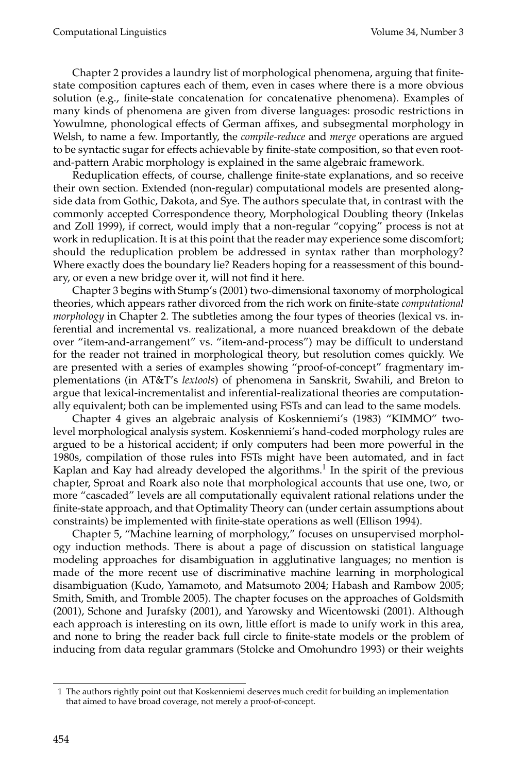Chapter 2 provides a laundry list of morphological phenomena, arguing that finitestate composition captures each of them, even in cases where there is a more obvious solution (e.g., finite-state concatenation for concatenative phenomena). Examples of many kinds of phenomena are given from diverse languages: prosodic restrictions in Yowulmne, phonological effects of German affixes, and subsegmental morphology in Welsh, to name a few. Importantly, the *compile-reduce* and *merge* operations are argued to be syntactic sugar for effects achievable by finite-state composition, so that even rootand-pattern Arabic morphology is explained in the same algebraic framework.

Reduplication effects, of course, challenge finite-state explanations, and so receive their own section. Extended (non-regular) computational models are presented alongside data from Gothic, Dakota, and Sye. The authors speculate that, in contrast with the commonly accepted Correspondence theory, Morphological Doubling theory (Inkelas and Zoll 1999), if correct, would imply that a non-regular "copying" process is not at work in reduplication. It is at this point that the reader may experience some discomfort; should the reduplication problem be addressed in syntax rather than morphology? Where exactly does the boundary lie? Readers hoping for a reassessment of this boundary, or even a new bridge over it, will not find it here.

Chapter 3 begins with Stump's (2001) two-dimensional taxonomy of morphological theories, which appears rather divorced from the rich work on finite-state *computational morphology* in Chapter 2. The subtleties among the four types of theories (lexical vs. inferential and incremental vs. realizational, a more nuanced breakdown of the debate over "item-and-arrangement" vs. "item-and-process") may be difficult to understand for the reader not trained in morphological theory, but resolution comes quickly. We are presented with a series of examples showing "proof-of-concept" fragmentary implementations (in AT&T's *lextools*) of phenomena in Sanskrit, Swahili, and Breton to argue that lexical-incrementalist and inferential-realizational theories are computationally equivalent; both can be implemented using FSTs and can lead to the same models.

Chapter 4 gives an algebraic analysis of Koskenniemi's (1983) "KIMMO" twolevel morphological analysis system. Koskenniemi's hand-coded morphology rules are argued to be a historical accident; if only computers had been more powerful in the 1980s, compilation of those rules into FSTs might have been automated, and in fact Kaplan and Kay had already developed the algorithms.<sup>1</sup> In the spirit of the previous chapter, Sproat and Roark also note that morphological accounts that use one, two, or more "cascaded" levels are all computationally equivalent rational relations under the finite-state approach, and that Optimality Theory can (under certain assumptions about constraints) be implemented with finite-state operations as well (Ellison 1994).

Chapter 5, "Machine learning of morphology," focuses on unsupervised morphology induction methods. There is about a page of discussion on statistical language modeling approaches for disambiguation in agglutinative languages; no mention is made of the more recent use of discriminative machine learning in morphological disambiguation (Kudo, Yamamoto, and Matsumoto 2004; Habash and Rambow 2005; Smith, Smith, and Tromble 2005). The chapter focuses on the approaches of Goldsmith (2001), Schone and Jurafsky (2001), and Yarowsky and Wicentowski (2001). Although each approach is interesting on its own, little effort is made to unify work in this area, and none to bring the reader back full circle to finite-state models or the problem of inducing from data regular grammars (Stolcke and Omohundro 1993) or their weights

<sup>1</sup> The authors rightly point out that Koskenniemi deserves much credit for building an implementation that aimed to have broad coverage, not merely a proof-of-concept.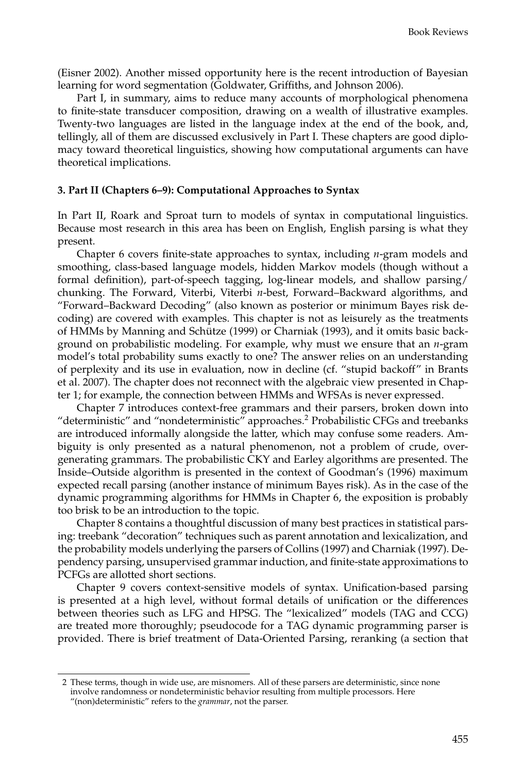(Eisner 2002). Another missed opportunity here is the recent introduction of Bayesian learning for word segmentation (Goldwater, Griffiths, and Johnson 2006).

Part I, in summary, aims to reduce many accounts of morphological phenomena to finite-state transducer composition, drawing on a wealth of illustrative examples. Twenty-two languages are listed in the language index at the end of the book, and, tellingly, all of them are discussed exclusively in Part I. These chapters are good diplomacy toward theoretical linguistics, showing how computational arguments can have theoretical implications.

### **3. Part II (Chapters 6–9): Computational Approaches to Syntax**

In Part II, Roark and Sproat turn to models of syntax in computational linguistics. Because most research in this area has been on English, English parsing is what they present.

Chapter 6 covers finite-state approaches to syntax, including *n*-gram models and smoothing, class-based language models, hidden Markov models (though without a formal definition), part-of-speech tagging, log-linear models, and shallow parsing/ chunking. The Forward, Viterbi, Viterbi *n*-best, Forward–Backward algorithms, and "Forward–Backward Decoding" (also known as posterior or minimum Bayes risk decoding) are covered with examples. This chapter is not as leisurely as the treatments of HMMs by Manning and Schutze (1999) or Charniak (1993), and it omits basic back- ¨ ground on probabilistic modeling. For example, why must we ensure that an *n*-gram model's total probability sums exactly to one? The answer relies on an understanding of perplexity and its use in evaluation, now in decline (cf. "stupid backoff" in Brants et al. 2007). The chapter does not reconnect with the algebraic view presented in Chapter 1; for example, the connection between HMMs and WFSAs is never expressed.

Chapter 7 introduces context-free grammars and their parsers, broken down into "deterministic" and "nondeterministic" approaches.<sup>2</sup> Probabilistic CFGs and treebanks are introduced informally alongside the latter, which may confuse some readers. Ambiguity is only presented as a natural phenomenon, not a problem of crude, overgenerating grammars. The probabilistic CKY and Earley algorithms are presented. The Inside–Outside algorithm is presented in the context of Goodman's (1996) maximum expected recall parsing (another instance of minimum Bayes risk). As in the case of the dynamic programming algorithms for HMMs in Chapter 6, the exposition is probably too brisk to be an introduction to the topic.

Chapter 8 contains a thoughtful discussion of many best practices in statistical parsing: treebank "decoration" techniques such as parent annotation and lexicalization, and the probability models underlying the parsers of Collins (1997) and Charniak (1997). Dependency parsing, unsupervised grammar induction, and finite-state approximations to PCFGs are allotted short sections.

Chapter 9 covers context-sensitive models of syntax. Unification-based parsing is presented at a high level, without formal details of unification or the differences between theories such as LFG and HPSG. The "lexicalized" models (TAG and CCG) are treated more thoroughly; pseudocode for a TAG dynamic programming parser is provided. There is brief treatment of Data-Oriented Parsing, reranking (a section that

<sup>2</sup> These terms, though in wide use, are misnomers. All of these parsers are deterministic, since none involve randomness or nondeterministic behavior resulting from multiple processors. Here "(non)deterministic" refers to the *grammar*, not the parser.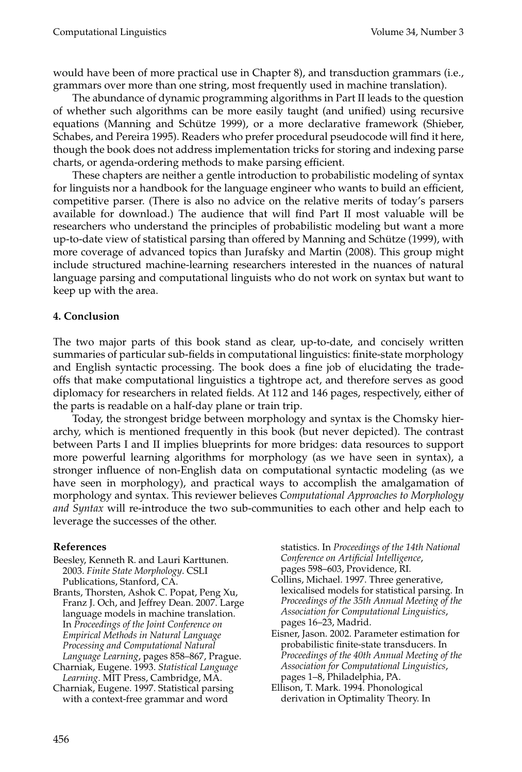would have been of more practical use in Chapter 8), and transduction grammars (i.e., grammars over more than one string, most frequently used in machine translation).

The abundance of dynamic programming algorithms in Part II leads to the question of whether such algorithms can be more easily taught (and unified) using recursive equations (Manning and Schütze 1999), or a more declarative framework (Shieber, Schabes, and Pereira 1995). Readers who prefer procedural pseudocode will find it here, though the book does not address implementation tricks for storing and indexing parse charts, or agenda-ordering methods to make parsing efficient.

These chapters are neither a gentle introduction to probabilistic modeling of syntax for linguists nor a handbook for the language engineer who wants to build an efficient, competitive parser. (There is also no advice on the relative merits of today's parsers available for download.) The audience that will find Part II most valuable will be researchers who understand the principles of probabilistic modeling but want a more up-to-date view of statistical parsing than offered by Manning and Schutze (1999), with ¨ more coverage of advanced topics than Jurafsky and Martin (2008). This group might include structured machine-learning researchers interested in the nuances of natural language parsing and computational linguists who do not work on syntax but want to keep up with the area.

## **4. Conclusion**

The two major parts of this book stand as clear, up-to-date, and concisely written summaries of particular sub-fields in computational linguistics: finite-state morphology and English syntactic processing. The book does a fine job of elucidating the tradeoffs that make computational linguistics a tightrope act, and therefore serves as good diplomacy for researchers in related fields. At 112 and 146 pages, respectively, either of the parts is readable on a half-day plane or train trip.

Today, the strongest bridge between morphology and syntax is the Chomsky hierarchy, which is mentioned frequently in this book (but never depicted). The contrast between Parts I and II implies blueprints for more bridges: data resources to support more powerful learning algorithms for morphology (as we have seen in syntax), a stronger influence of non-English data on computational syntactic modeling (as we have seen in morphology), and practical ways to accomplish the amalgamation of morphology and syntax. This reviewer believes *Computational Approaches to Morphology and Syntax* will re-introduce the two sub-communities to each other and help each to leverage the successes of the other.

### **References**

- Beesley, Kenneth R. and Lauri Karttunen. 2003. *Finite State Morphology*. CSLI Publications, Stanford, CA.
- Brants, Thorsten, Ashok C. Popat, Peng Xu, Franz J. Och, and Jeffrey Dean. 2007. Large language models in machine translation. In *Proceedings of the Joint Conference on Empirical Methods in Natural Language Processing and Computational Natural Language Learning*, pages 858–867, Prague.
- Charniak, Eugene. 1993. *Statistical Language Learning*. MIT Press, Cambridge, MA.
- Charniak, Eugene. 1997. Statistical parsing with a context-free grammar and word

statistics. In *Proceedings of the 14th National Conference on Artificial Intelligence*, pages 598–603, Providence, RI.

- Collins, Michael. 1997. Three generative, lexicalised models for statistical parsing. In *Proceedings of the 35th Annual Meeting of the Association for Computational Linguistics*, pages 16–23, Madrid.
- Eisner, Jason. 2002. Parameter estimation for probabilistic finite-state transducers. In *Proceedings of the 40th Annual Meeting of the Association for Computational Linguistics*, pages 1–8, Philadelphia, PA.
- Ellison, T. Mark. 1994. Phonological derivation in Optimality Theory. In